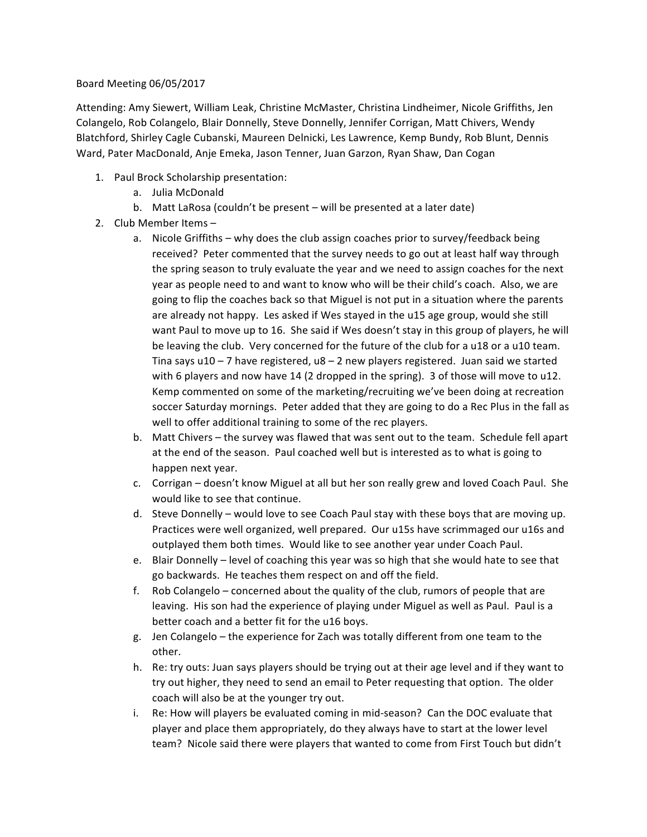## Board Meeting 06/05/2017

Attending: Amy Siewert, William Leak, Christine McMaster, Christina Lindheimer, Nicole Griffiths, Jen Colangelo, Rob Colangelo, Blair Donnelly, Steve Donnelly, Jennifer Corrigan, Matt Chivers, Wendy Blatchford, Shirley Cagle Cubanski, Maureen Delnicki, Les Lawrence, Kemp Bundy, Rob Blunt, Dennis Ward, Pater MacDonald, Anje Emeka, Jason Tenner, Juan Garzon, Ryan Shaw, Dan Cogan

- 1. Paul Brock Scholarship presentation:
	- a. Julia McDonald
	- b. Matt LaRosa (couldn't be present will be presented at a later date)
- 2. Club Member Items
	- a. Nicole Griffiths why does the club assign coaches prior to survey/feedback being received? Peter commented that the survey needs to go out at least half way through the spring season to truly evaluate the year and we need to assign coaches for the next year as people need to and want to know who will be their child's coach. Also, we are going to flip the coaches back so that Miguel is not put in a situation where the parents are already not happy. Les asked if Wes stayed in the u15 age group, would she still want Paul to move up to 16. She said if Wes doesn't stay in this group of players, he will be leaving the club. Very concerned for the future of the club for a u18 or a u10 team. Tina says  $u10 - 7$  have registered,  $u8 - 2$  new players registered. Juan said we started with 6 players and now have 14 (2 dropped in the spring). 3 of those will move to u12. Kemp commented on some of the marketing/recruiting we've been doing at recreation soccer Saturday mornings. Peter added that they are going to do a Rec Plus in the fall as well to offer additional training to some of the rec players.
	- b. Matt Chivers the survey was flawed that was sent out to the team. Schedule fell apart at the end of the season. Paul coached well but is interested as to what is going to happen next year.
	- c. Corrigan doesn't know Miguel at all but her son really grew and loved Coach Paul. She would like to see that continue.
	- d. Steve Donnelly would love to see Coach Paul stay with these boys that are moving up. Practices were well organized, well prepared. Our u15s have scrimmaged our u16s and outplayed them both times. Would like to see another year under Coach Paul.
	- e. Blair Donnelly level of coaching this year was so high that she would hate to see that go backwards. He teaches them respect on and off the field.
	- f. Rob Colangelo concerned about the quality of the club, rumors of people that are leaving. His son had the experience of playing under Miguel as well as Paul. Paul is a better coach and a better fit for the u16 boys.
	- g. Jen Colangelo the experience for Zach was totally different from one team to the other.
	- h. Re: try outs: Juan says players should be trying out at their age level and if they want to try out higher, they need to send an email to Peter requesting that option. The older coach will also be at the younger try out.
	- i. Re: How will players be evaluated coming in mid-season? Can the DOC evaluate that player and place them appropriately, do they always have to start at the lower level team? Nicole said there were players that wanted to come from First Touch but didn't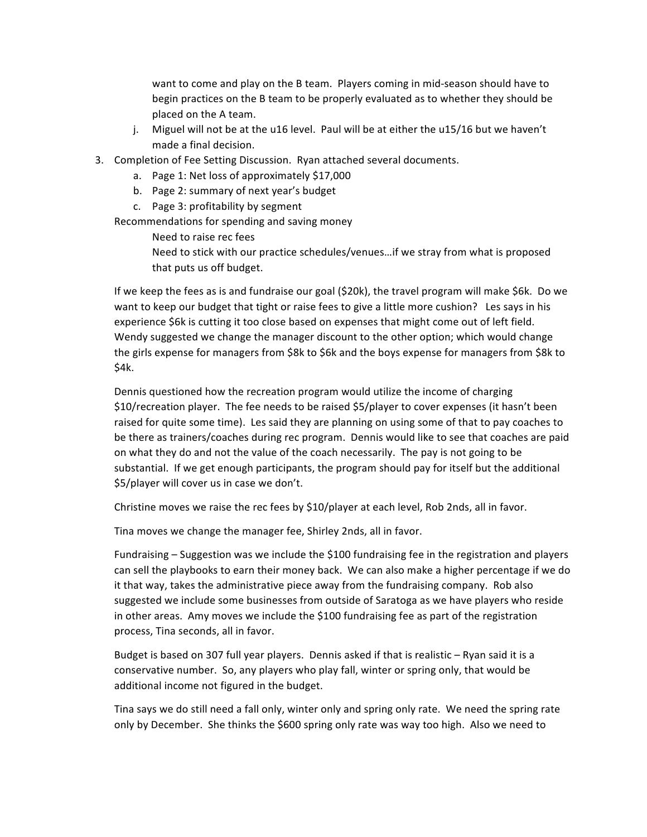want to come and play on the B team. Players coming in mid-season should have to begin practices on the B team to be properly evaluated as to whether they should be placed on the A team.

- j. Miguel will not be at the u16 level. Paul will be at either the u15/16 but we haven't made a final decision.
- 3. Completion of Fee Setting Discussion. Ryan attached several documents.
	- a. Page 1: Net loss of approximately \$17,000
	- b. Page 2: summary of next year's budget
	- c. Page 3: profitability by segment

Recommendations for spending and saving money

Need to raise rec fees

Need to stick with our practice schedules/venues...if we stray from what is proposed that puts us off budget.

If we keep the fees as is and fundraise our goal (\$20k), the travel program will make \$6k. Do we want to keep our budget that tight or raise fees to give a little more cushion? Les says in his experience \$6k is cutting it too close based on expenses that might come out of left field. Wendy suggested we change the manager discount to the other option; which would change the girls expense for managers from \$8k to \$6k and the boys expense for managers from \$8k to \$4k.

Dennis questioned how the recreation program would utilize the income of charging \$10/recreation player. The fee needs to be raised \$5/player to cover expenses (it hasn't been raised for quite some time). Les said they are planning on using some of that to pay coaches to be there as trainers/coaches during rec program. Dennis would like to see that coaches are paid on what they do and not the value of the coach necessarily. The pay is not going to be substantial. If we get enough participants, the program should pay for itself but the additional \$5/player will cover us in case we don't.

Christine moves we raise the rec fees by \$10/player at each level, Rob 2nds, all in favor.

Tina moves we change the manager fee, Shirley 2nds, all in favor.

Fundraising  $-$  Suggestion was we include the \$100 fundraising fee in the registration and players can sell the playbooks to earn their money back. We can also make a higher percentage if we do it that way, takes the administrative piece away from the fundraising company. Rob also suggested we include some businesses from outside of Saratoga as we have players who reside in other areas. Amy moves we include the \$100 fundraising fee as part of the registration process, Tina seconds, all in favor.

Budget is based on 307 full year players. Dennis asked if that is realistic – Ryan said it is a conservative number. So, any players who play fall, winter or spring only, that would be additional income not figured in the budget.

Tina says we do still need a fall only, winter only and spring only rate. We need the spring rate only by December. She thinks the \$600 spring only rate was way too high. Also we need to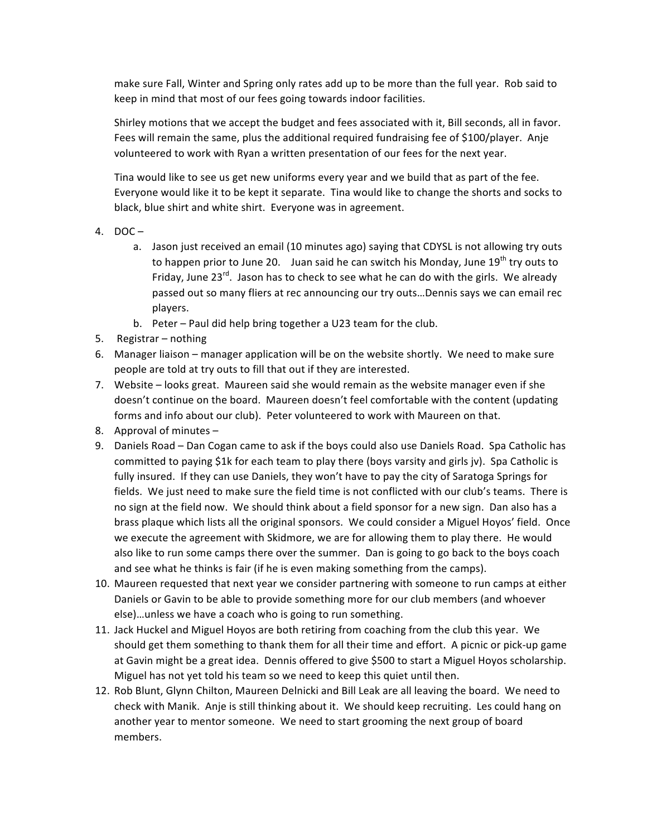make sure Fall, Winter and Spring only rates add up to be more than the full year. Rob said to keep in mind that most of our fees going towards indoor facilities.

Shirley motions that we accept the budget and fees associated with it, Bill seconds, all in favor. Fees will remain the same, plus the additional required fundraising fee of \$100/player. Anje volunteered to work with Ryan a written presentation of our fees for the next year.

Tina would like to see us get new uniforms every year and we build that as part of the fee. Everyone would like it to be kept it separate. Tina would like to change the shorts and socks to black, blue shirt and white shirt. Everyone was in agreement.

- 4.  $DOC$ 
	- a. Jason just received an email (10 minutes ago) saying that CDYSL is not allowing try outs to happen prior to June 20. Juan said he can switch his Monday, June 19<sup>th</sup> try outs to Friday, June  $23^{rd}$ . Jason has to check to see what he can do with the girls. We already passed out so many fliers at rec announcing our try outs...Dennis says we can email rec players.
	- b. Peter Paul did help bring together a U23 team for the club.
- 5. Registrar nothing
- 6. Manager liaison manager application will be on the website shortly. We need to make sure people are told at try outs to fill that out if they are interested.
- 7. Website looks great. Maureen said she would remain as the website manager even if she doesn't continue on the board. Maureen doesn't feel comfortable with the content (updating forms and info about our club). Peter volunteered to work with Maureen on that.
- 8. Approval of minutes  $-$
- 9. Daniels Road Dan Cogan came to ask if the boys could also use Daniels Road. Spa Catholic has committed to paying \$1k for each team to play there (boys varsity and girls jv). Spa Catholic is fully insured. If they can use Daniels, they won't have to pay the city of Saratoga Springs for fields. We just need to make sure the field time is not conflicted with our club's teams. There is no sign at the field now. We should think about a field sponsor for a new sign. Dan also has a brass plaque which lists all the original sponsors. We could consider a Miguel Hoyos' field. Once we execute the agreement with Skidmore, we are for allowing them to play there. He would also like to run some camps there over the summer. Dan is going to go back to the boys coach and see what he thinks is fair (if he is even making something from the camps).
- 10. Maureen requested that next year we consider partnering with someone to run camps at either Daniels or Gavin to be able to provide something more for our club members (and whoever else)...unless we have a coach who is going to run something.
- 11. Jack Huckel and Miguel Hoyos are both retiring from coaching from the club this year. We should get them something to thank them for all their time and effort. A picnic or pick-up game at Gavin might be a great idea. Dennis offered to give \$500 to start a Miguel Hoyos scholarship. Miguel has not yet told his team so we need to keep this quiet until then.
- 12. Rob Blunt, Glynn Chilton, Maureen Delnicki and Bill Leak are all leaving the board. We need to check with Manik. Anje is still thinking about it. We should keep recruiting. Les could hang on another year to mentor someone. We need to start grooming the next group of board members.